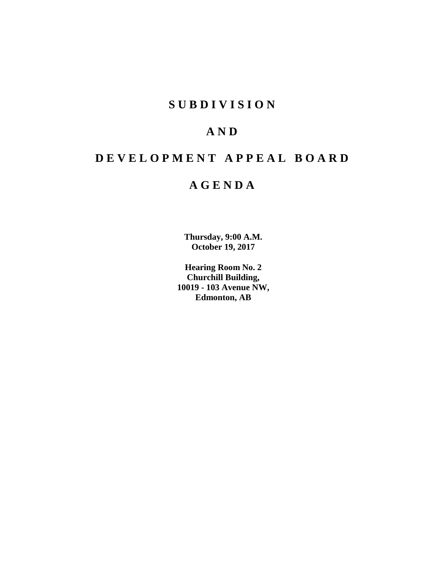# **SUBDIVISION**

# **AND**

# **DEVELOPMENT APPEAL BOARD**

# **AGENDA**

**Thursday, 9:00 A.M. October 19, 2017**

**Hearing Room No. 2 Churchill Building, 10019 - 103 Avenue NW, Edmonton, AB**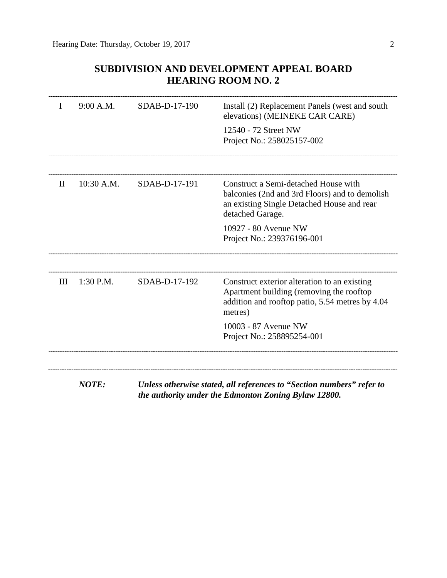# **SUBDIVISION AND DEVELOPMENT APPEAL BOARD HEARING ROOM NO. 2**

| I     | 9:00 A.M.    | SDAB-D-17-190 | Install (2) Replacement Panels (west and south<br>elevations) (MEINEKE CAR CARE)                                                                         |
|-------|--------------|---------------|----------------------------------------------------------------------------------------------------------------------------------------------------------|
|       |              |               | 12540 - 72 Street NW<br>Project No.: 258025157-002                                                                                                       |
|       |              |               |                                                                                                                                                          |
| $\Pi$ | 10:30 A.M.   | SDAB-D-17-191 | Construct a Semi-detached House with<br>balconies (2nd and 3rd Floors) and to demolish<br>an existing Single Detached House and rear<br>detached Garage. |
|       |              |               | 10927 - 80 Avenue NW<br>Project No.: 239376196-001                                                                                                       |
| III   | 1:30 P.M.    | SDAB-D-17-192 | Construct exterior alteration to an existing<br>Apartment building (removing the rooftop                                                                 |
|       |              |               | addition and rooftop patio, 5.54 metres by 4.04<br>metres)                                                                                               |
|       |              |               | 10003 - 87 Avenue NW<br>Project No.: 258895254-001                                                                                                       |
|       |              |               |                                                                                                                                                          |
|       | <b>NOTE:</b> |               | Unless otherwise stated, all references to "Section numbers" refer to<br>the authority under the Edmonton Zoning Bylaw 12800.                            |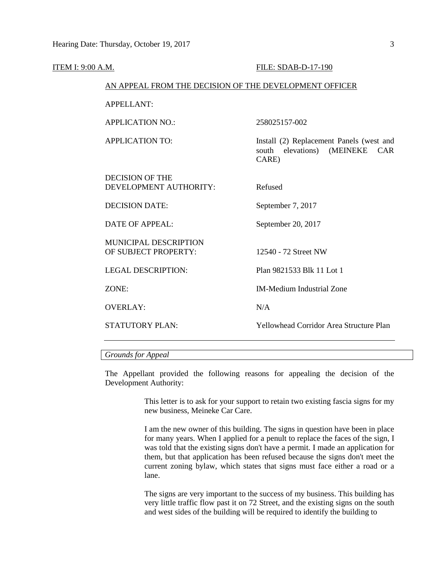| ITEM I: 9:00 A.M. |                                                        | FILE: SDAB-D-17-190                                                                    |  |  |
|-------------------|--------------------------------------------------------|----------------------------------------------------------------------------------------|--|--|
|                   | AN APPEAL FROM THE DECISION OF THE DEVELOPMENT OFFICER |                                                                                        |  |  |
| <b>APPELLANT:</b> |                                                        |                                                                                        |  |  |
|                   | <b>APPLICATION NO.:</b>                                | 258025157-002                                                                          |  |  |
|                   | <b>APPLICATION TO:</b>                                 | Install (2) Replacement Panels (west and<br>elevations) (MEINEKE CAR<br>south<br>CARE) |  |  |
|                   | <b>DECISION OF THE</b><br>DEVELOPMENT AUTHORITY:       | Refused                                                                                |  |  |
|                   | <b>DECISION DATE:</b>                                  | September 7, 2017                                                                      |  |  |
|                   | <b>DATE OF APPEAL:</b>                                 | September 20, 2017                                                                     |  |  |
|                   | <b>MUNICIPAL DESCRIPTION</b><br>OF SUBJECT PROPERTY:   | 12540 - 72 Street NW                                                                   |  |  |
|                   | <b>LEGAL DESCRIPTION:</b>                              | Plan 9821533 Blk 11 Lot 1                                                              |  |  |
|                   | ZONE:                                                  | <b>IM-Medium Industrial Zone</b>                                                       |  |  |
|                   | <b>OVERLAY:</b>                                        | N/A                                                                                    |  |  |
|                   | <b>STATUTORY PLAN:</b>                                 | <b>Yellowhead Corridor Area Structure Plan</b>                                         |  |  |

# *Grounds for Appeal*

The Appellant provided the following reasons for appealing the decision of the Development Authority:

> This letter is to ask for your support to retain two existing fascia signs for my new business, Meineke Car Care.

> I am the new owner of this building. The signs in question have been in place for many years. When I applied for a penult to replace the faces of the sign, I was told that the existing signs don't have a permit. I made an application for them, but that application has been refused because the signs don't meet the current zoning bylaw, which states that signs must face either a road or a lane.

> The signs are very important to the success of my business. This building has very little traffic flow past it on 72 Street, and the existing signs on the south and west sides of the building will be required to identify the building to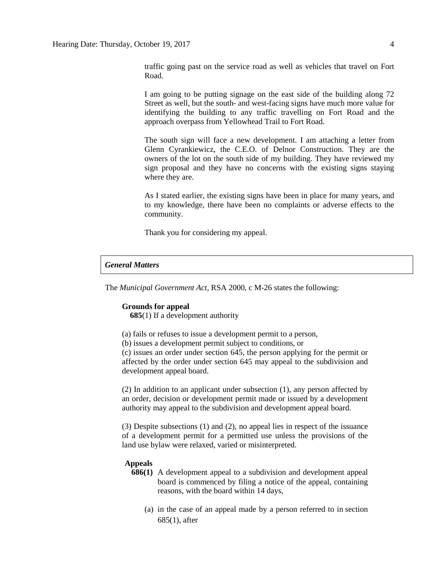traffic going past on the service road as well as vehicles that travel on Fort Road.

I am going to be putting signage on the east side of the building along 72 Street as well, but the south- and west-facing signs have much more value for identifying the building to any traffic travelling on Fort Road and the approach overpass from Yellowhead Trail to Fort Road.

The south sign will face a new development. I am attaching a letter from Glenn Cyrankiewicz, the C.E.O. of Delnor Construction. They are the owners of the lot on the south side of my building. They have reviewed my sign proposal and they have no concerns with the existing signs staying where they are.

As I stated earlier, the existing signs have been in place for many years, and to my knowledge, there have been no complaints or adverse effects to the community.

Thank you for considering my appeal.

# *General Matters*

The *Municipal Government Act*, RSA 2000, c M-26 states the following:

#### **Grounds for appeal**

 **685**(1) If a development authority

- (a) fails or refuses to issue a development permit to a person,
- (b) issues a development permit subject to conditions, or

(c) issues an order under section 645, the person applying for the permit or affected by the order under section 645 may appeal to the subdivision and development appeal board.

(2) In addition to an applicant under subsection (1), any person affected by an order, decision or development permit made or issued by a development authority may appeal to the subdivision and development appeal board.

(3) Despite subsections (1) and (2), no appeal lies in respect of the issuance of a development permit for a permitted use unless the provisions of the land use bylaw were relaxed, varied or misinterpreted.

#### **Appeals**

- **686(1)** A development appeal to a subdivision and development appeal board is commenced by filing a notice of the appeal, containing reasons, with the board within 14 days,
	- (a) in the case of an appeal made by a person referred to in section 685(1), after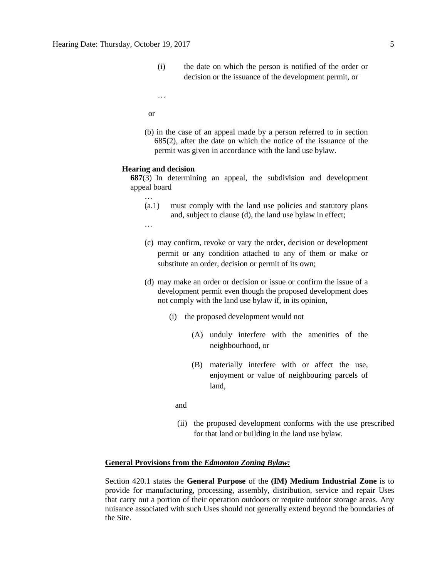- (i) the date on which the person is notified of the order or decision or the issuance of the development permit, or
- …
- or
- (b) in the case of an appeal made by a person referred to in section 685(2), after the date on which the notice of the issuance of the permit was given in accordance with the land use bylaw.

#### **Hearing and decision**

**687**(3) In determining an appeal, the subdivision and development appeal board

- (a.1) must comply with the land use policies and statutory plans and, subject to clause (d), the land use bylaw in effect;
- …

…

- (c) may confirm, revoke or vary the order, decision or development permit or any condition attached to any of them or make or substitute an order, decision or permit of its own;
- (d) may make an order or decision or issue or confirm the issue of a development permit even though the proposed development does not comply with the land use bylaw if, in its opinion,
	- (i) the proposed development would not
		- (A) unduly interfere with the amenities of the neighbourhood, or
		- (B) materially interfere with or affect the use, enjoyment or value of neighbouring parcels of land,
- and
	- (ii) the proposed development conforms with the use prescribed for that land or building in the land use bylaw.

#### **General Provisions from the** *Edmonton Zoning Bylaw:*

Section 420.1 states the **General Purpose** of the **(IM) Medium Industrial Zone** is to provide for manufacturing, processing, assembly, distribution, service and repair Uses that carry out a portion of their operation outdoors or require outdoor storage areas. Any nuisance associated with such Uses should not generally extend beyond the boundaries of the Site.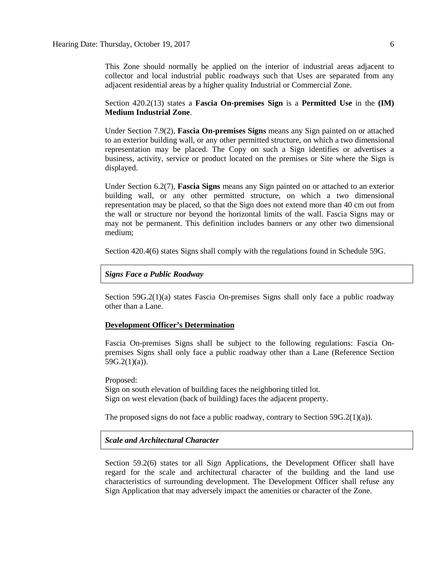This Zone should normally be applied on the interior of industrial areas adjacent to collector and local industrial public roadways such that Uses are separated from any adjacent residential areas by a higher quality Industrial or Commercial Zone.

Section 420.2(13) states a **Fascia On-premises Sign** is a **Permitted Use** in the **(IM) Medium Industrial Zone**.

Under Section 7.9(2), **Fascia On-premises Signs** means any Sign painted on or attached to an exterior building wall, or any other permitted structure, on which a two dimensional representation may be placed. The Copy on such a Sign identifies or advertises a business, activity, service or product located on the premises or Site where the Sign is displayed.

Under Section 6.2(7), **Fascia Signs** means any Sign painted on or attached to an exterior building wall, or any other permitted structure, on which a two dimensional representation may be placed, so that the Sign does not extend more than 40 cm out from the wall or structure nor beyond the horizontal limits of the wall. Fascia Signs may or may not be permanent. This definition includes banners or any other two dimensional medium;

Section 420.4(6) states Signs shall comply with the regulations found in Schedule 59G.

#### *Signs Face a Public Roadway*

Section 59G.2(1)(a) states Fascia On-premises Signs shall only face a public roadway other than a Lane.

#### **Development Officer's Determination**

Fascia On-premises Signs shall be subject to the following regulations: Fascia Onpremises Signs shall only face a public roadway other than a Lane (Reference Section  $59G.2(1)(a)$ ).

Proposed: Sign on south elevation of building faces the neighboring titled lot. Sign on west elevation (back of building) faces the adjacent property.

The proposed signs do not face a public roadway, contrary to Section 59G.2(1)(a)).

#### *Scale and Architectural Character*

Section 59.2(6) states tor all Sign Applications, the Development Officer shall have regard for the scale and architectural character of the building and the land use characteristics of surrounding development. The Development Officer shall refuse any Sign Application that may adversely impact the amenities or character of the Zone.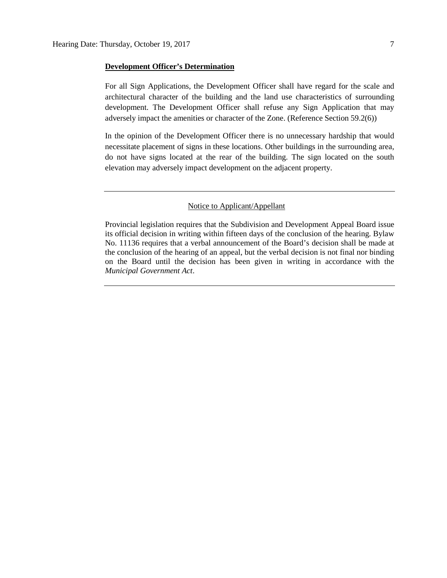#### **Development Officer's Determination**

For all Sign Applications, the Development Officer shall have regard for the scale and architectural character of the building and the land use characteristics of surrounding development. The Development Officer shall refuse any Sign Application that may adversely impact the amenities or character of the Zone. (Reference Section 59.2(6))

In the opinion of the Development Officer there is no unnecessary hardship that would necessitate placement of signs in these locations. Other buildings in the surrounding area, do not have signs located at the rear of the building. The sign located on the south elevation may adversely impact development on the adjacent property.

#### Notice to Applicant/Appellant

Provincial legislation requires that the Subdivision and Development Appeal Board issue its official decision in writing within fifteen days of the conclusion of the hearing. Bylaw No. 11136 requires that a verbal announcement of the Board's decision shall be made at the conclusion of the hearing of an appeal, but the verbal decision is not final nor binding on the Board until the decision has been given in writing in accordance with the *Municipal Government Act*.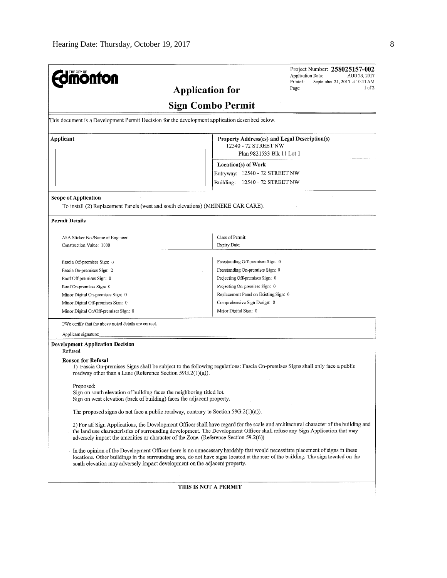|                                                                                                                                                              | 1 of 2<br>Page:<br><b>Application for</b>                                                                                                                                                                                                                            |  |  |  |  |
|--------------------------------------------------------------------------------------------------------------------------------------------------------------|----------------------------------------------------------------------------------------------------------------------------------------------------------------------------------------------------------------------------------------------------------------------|--|--|--|--|
|                                                                                                                                                              |                                                                                                                                                                                                                                                                      |  |  |  |  |
| <b>Sign Combo Permit</b>                                                                                                                                     |                                                                                                                                                                                                                                                                      |  |  |  |  |
| This document is a Development Permit Decision for the development application described below.                                                              |                                                                                                                                                                                                                                                                      |  |  |  |  |
| Applicant                                                                                                                                                    | Property Address(es) and Legal Description(s)                                                                                                                                                                                                                        |  |  |  |  |
|                                                                                                                                                              | 12540 - 72 STREET NW<br>Plan 9821533 Blk 11 Lot 1                                                                                                                                                                                                                    |  |  |  |  |
|                                                                                                                                                              |                                                                                                                                                                                                                                                                      |  |  |  |  |
|                                                                                                                                                              | Location(s) of Work                                                                                                                                                                                                                                                  |  |  |  |  |
|                                                                                                                                                              | Entryway: 12540 - 72 STREET NW                                                                                                                                                                                                                                       |  |  |  |  |
|                                                                                                                                                              | Building: 12540 - 72 STREET NW                                                                                                                                                                                                                                       |  |  |  |  |
| <b>Scope of Application</b>                                                                                                                                  |                                                                                                                                                                                                                                                                      |  |  |  |  |
| To install (2) Replacement Panels (west and south elevations) (MEINEKE CAR CARE).                                                                            |                                                                                                                                                                                                                                                                      |  |  |  |  |
| <b>Permit Details</b>                                                                                                                                        |                                                                                                                                                                                                                                                                      |  |  |  |  |
| ASA Sticker No./Name of Engineer:                                                                                                                            | Class of Permit:                                                                                                                                                                                                                                                     |  |  |  |  |
| Construction Value: 1000                                                                                                                                     | Expiry Date:                                                                                                                                                                                                                                                         |  |  |  |  |
|                                                                                                                                                              |                                                                                                                                                                                                                                                                      |  |  |  |  |
| Fascia Off-premises Sign: 0                                                                                                                                  | Freestanding Off-premises Sign: 0                                                                                                                                                                                                                                    |  |  |  |  |
| Fascia On-premises Sign: 2                                                                                                                                   | Freestanding On-premises Sign: 0                                                                                                                                                                                                                                     |  |  |  |  |
| Roof Off-premises Sign: 0                                                                                                                                    | Projecting Off-premises Sign: 0                                                                                                                                                                                                                                      |  |  |  |  |
| Roof On-premises Sign: 0                                                                                                                                     | Projecting On-premises Sign: 0                                                                                                                                                                                                                                       |  |  |  |  |
| Minor Digital On-premises Sign: 0                                                                                                                            | Replacement Panel on Existing Sign: 0<br>Comprehensive Sign Design: 0<br>Major Digital Sign: 0                                                                                                                                                                       |  |  |  |  |
| Minor Digital Off-premises Sign: 0                                                                                                                           |                                                                                                                                                                                                                                                                      |  |  |  |  |
| Minor Digital On/Off-premises Sign: 0                                                                                                                        |                                                                                                                                                                                                                                                                      |  |  |  |  |
| I/We certify that the above noted details are correct.                                                                                                       |                                                                                                                                                                                                                                                                      |  |  |  |  |
| Applicant signature:                                                                                                                                         |                                                                                                                                                                                                                                                                      |  |  |  |  |
| <b>Development Application Decision</b>                                                                                                                      |                                                                                                                                                                                                                                                                      |  |  |  |  |
| Refused                                                                                                                                                      |                                                                                                                                                                                                                                                                      |  |  |  |  |
| <b>Reason for Refusal</b><br>roadway other than a Lane (Reference Section 59G.2(1)(a)).                                                                      | 1) Fascia On-premises Signs shall be subject to the following regulations: Fascia On-premises Signs shall only face a public                                                                                                                                         |  |  |  |  |
| Proposed:<br>Sign on south elevation of building faces the neighboring titled lot.<br>Sign on west elevation (back of building) faces the adjacent property. |                                                                                                                                                                                                                                                                      |  |  |  |  |
| The proposed signs do not face a public roadway, contrary to Section $59G.2(1)(a)$ .                                                                         |                                                                                                                                                                                                                                                                      |  |  |  |  |
| adversely impact the amenities or character of the Zone. (Reference Section 59.2(6))                                                                         | 2) For all Sign Applications, the Development Officer shall have regard for the scale and architectural character of the building and<br>the land use characteristics of surrounding development. The Development Officer shall refuse any Sign Application that may |  |  |  |  |
| south elevation may adversely impact development on the adjacent property.                                                                                   | In the opinion of the Development Officer there is no unnecessary hardship that would necessitate placement of signs in these<br>locations. Other buildings in the surrounding area, do not have signs located at the rear of the building. The sign located on the  |  |  |  |  |
|                                                                                                                                                              | THIS IS NOT A PERMIT                                                                                                                                                                                                                                                 |  |  |  |  |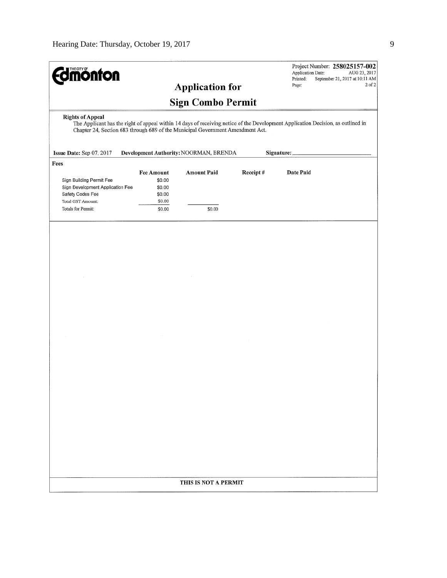| <b>monton</b>                                                                                                                                                                                                                                                                                                                     |                                                 |                          |          | Project Number: 258025157-002<br>Application Date:<br>AUG 23, 2017<br>Printed:<br>September 21, 2017 at 10:11 AM |  |
|-----------------------------------------------------------------------------------------------------------------------------------------------------------------------------------------------------------------------------------------------------------------------------------------------------------------------------------|-------------------------------------------------|--------------------------|----------|------------------------------------------------------------------------------------------------------------------|--|
|                                                                                                                                                                                                                                                                                                                                   |                                                 | <b>Application for</b>   |          | 2 of 2<br>Page:                                                                                                  |  |
|                                                                                                                                                                                                                                                                                                                                   |                                                 | <b>Sign Combo Permit</b> |          |                                                                                                                  |  |
| <b>Rights of Appeal</b><br>The Applicant has the right of appeal within 14 days of receiving notice of the Development Application Decision, as outlined in<br>Chapter 24, Section 683 through 689 of the Municipal Government Amendment Act.<br>Development Authority: NOORMAN, BRENDA<br>Issue Date: Sep 07, 2017<br>Signature: |                                                 |                          |          |                                                                                                                  |  |
| Fees                                                                                                                                                                                                                                                                                                                              |                                                 |                          |          |                                                                                                                  |  |
| Sign Building Permit Fee<br>Sign Development Application Fee<br>Safety Codes Fee                                                                                                                                                                                                                                                  | <b>Fee Amount</b><br>\$0.00<br>\$0.00<br>\$0.00 | <b>Amount Paid</b>       | Receipt# | Date Paid                                                                                                        |  |
| Total GST Amount:<br>Totals for Permit:                                                                                                                                                                                                                                                                                           | \$0.00<br>\$0.00                                | \$0.00                   |          |                                                                                                                  |  |
|                                                                                                                                                                                                                                                                                                                                   |                                                 |                          |          |                                                                                                                  |  |
|                                                                                                                                                                                                                                                                                                                                   |                                                 |                          |          |                                                                                                                  |  |
|                                                                                                                                                                                                                                                                                                                                   |                                                 |                          |          |                                                                                                                  |  |
|                                                                                                                                                                                                                                                                                                                                   |                                                 |                          |          |                                                                                                                  |  |
|                                                                                                                                                                                                                                                                                                                                   |                                                 |                          |          |                                                                                                                  |  |
|                                                                                                                                                                                                                                                                                                                                   |                                                 |                          |          |                                                                                                                  |  |
|                                                                                                                                                                                                                                                                                                                                   |                                                 |                          |          |                                                                                                                  |  |
|                                                                                                                                                                                                                                                                                                                                   |                                                 |                          |          |                                                                                                                  |  |
|                                                                                                                                                                                                                                                                                                                                   |                                                 |                          |          |                                                                                                                  |  |
|                                                                                                                                                                                                                                                                                                                                   |                                                 |                          |          |                                                                                                                  |  |
| THIS IS NOT A PERMIT                                                                                                                                                                                                                                                                                                              |                                                 |                          |          |                                                                                                                  |  |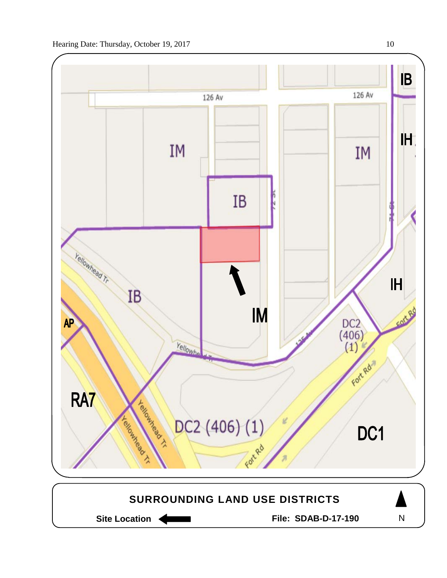

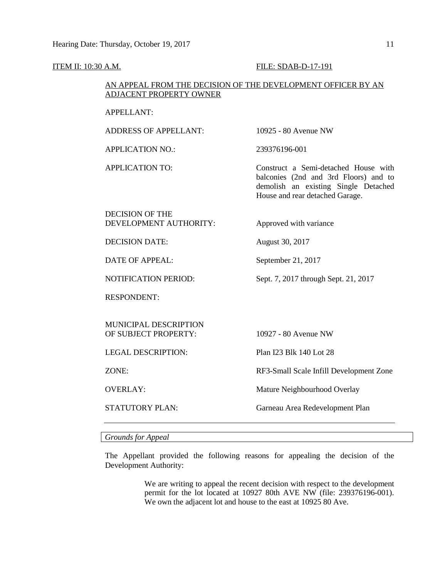#### ITEM II: 10:30 A.M. FILE: SDAB-D-17-191

# AN APPEAL FROM THE DECISION OF THE DEVELOPMENT OFFICER BY AN ADJACENT PROPERTY OWNER

## APPELLANT:

ADDRESS OF APPELLANT: 10925 - 80 Avenue NW

APPLICATION NO.: 239376196-001

APPLICATION TO: Construct a Semi-detached House with balconies (2nd and 3rd Floors) and to demolish an existing Single Detached House and rear detached Garage.

# DECISION OF THE DEVELOPMENT AUTHORITY: Approved with variance

DECISION DATE: August 30, 2017

DATE OF APPEAL: September 21, 2017

NOTIFICATION PERIOD: Sept. 7, 2017 through Sept. 21, 2017

RESPONDENT:

MUNICIPAL DESCRIPTION OF SUBJECT PROPERTY: 10927 - 80 Avenue NW

LEGAL DESCRIPTION: Plan I23 Blk 140 Lot 28

ZONE: RF3-Small Scale Infill Development Zone

OVERLAY: Mature Neighbourhood Overlay

STATUTORY PLAN: Garneau Area Redevelopment Plan

*Grounds for Appeal*

The Appellant provided the following reasons for appealing the decision of the Development Authority:

> We are writing to appeal the recent decision with respect to the development permit for the lot located at 10927 80th AVE NW (file: 239376196-001). We own the adjacent lot and house to the east at 10925 80 Ave.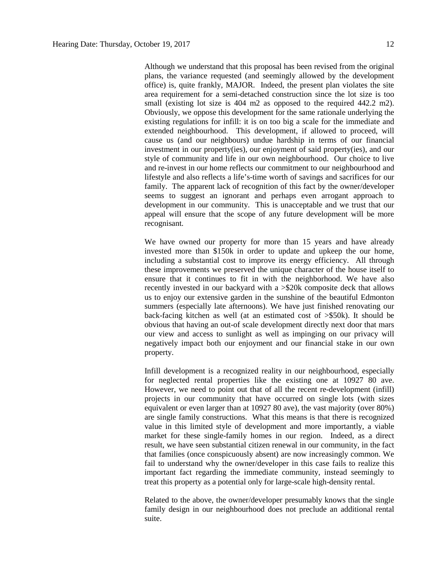Although we understand that this proposal has been revised from the original plans, the variance requested (and seemingly allowed by the development office) is, quite frankly, MAJOR. Indeed, the present plan violates the site area requirement for a semi-detached construction since the lot size is too small (existing lot size is 404 m2 as opposed to the required 442.2 m2). Obviously, we oppose this development for the same rationale underlying the existing regulations for infill: it is on too big a scale for the immediate and extended neighbourhood. This development, if allowed to proceed, will cause us (and our neighbours) undue hardship in terms of our financial investment in our property(ies), our enjoyment of said property(ies), and our style of community and life in our own neighbourhood. Our choice to live and re-invest in our home reflects our commitment to our neighbourhood and lifestyle and also reflects a life's-time worth of savings and sacrifices for our family. The apparent lack of recognition of this fact by the owner/developer seems to suggest an ignorant and perhaps even arrogant approach to development in our community. This is unacceptable and we trust that our appeal will ensure that the scope of any future development will be more recognisant.

We have owned our property for more than 15 years and have already invested more than \$150k in order to update and upkeep the our home, including a substantial cost to improve its energy efficiency. All through these improvements we preserved the unique character of the house itself to ensure that it continues to fit in with the neighborhood. We have also recently invested in our backyard with a >\$20k composite deck that allows us to enjoy our extensive garden in the sunshine of the beautiful Edmonton summers (especially late afternoons). We have just finished renovating our back-facing kitchen as well (at an estimated cost of >\$50k). It should be obvious that having an out-of scale development directly next door that mars our view and access to sunlight as well as impinging on our privacy will negatively impact both our enjoyment and our financial stake in our own property.

Infill development is a recognized reality in our neighbourhood, especially for neglected rental properties like the existing one at 10927 80 ave. However, we need to point out that of all the recent re-development (infill) projects in our community that have occurred on single lots (with sizes equivalent or even larger than at 10927 80 ave), the vast majority (over 80%) are single family constructions. What this means is that there is recognized value in this limited style of development and more importantly, a viable market for these single-family homes in our region. Indeed, as a direct result, we have seen substantial citizen renewal in our community, in the fact that families (once conspicuously absent) are now increasingly common. We fail to understand why the owner/developer in this case fails to realize this important fact regarding the immediate community, instead seemingly to treat this property as a potential only for large-scale high-density rental.

Related to the above, the owner/developer presumably knows that the single family design in our neighbourhood does not preclude an additional rental suite.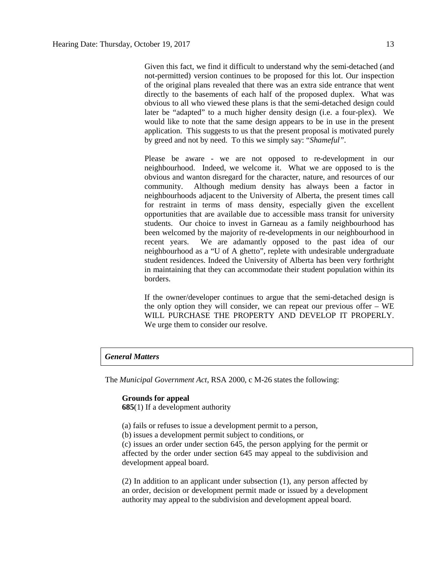Given this fact, we find it difficult to understand why the semi-detached (and not-permitted) version continues to be proposed for this lot. Our inspection of the original plans revealed that there was an extra side entrance that went directly to the basements of each half of the proposed duplex. What was obvious to all who viewed these plans is that the semi-detached design could later be "adapted" to a much higher density design (i.e. a four-plex). We would like to note that the same design appears to be in use in the present application. This suggests to us that the present proposal is motivated purely by greed and not by need. To this we simply say: "*Shameful"*.

Please be aware - we are not opposed to re-development in our neighbourhood. Indeed, we welcome it. What we are opposed to is the obvious and wanton disregard for the character, nature, and resources of our community. Although medium density has always been a factor in neighbourhoods adjacent to the University of Alberta, the present times call for restraint in terms of mass density, especially given the excellent opportunities that are available due to accessible mass transit for university students. Our choice to invest in Garneau as a family neighbourhood has been welcomed by the majority of re-developments in our neighbourhood in recent years. We are adamantly opposed to the past idea of our neighbourhood as a "U of A ghetto", replete with undesirable undergraduate student residences. Indeed the University of Alberta has been very forthright in maintaining that they can accommodate their student population within its borders.

If the owner/developer continues to argue that the semi-detached design is the only option they will consider, we can repeat our previous offer – WE WILL PURCHASE THE PROPERTY AND DEVELOP IT PROPERLY. We urge them to consider our resolve.

## *General Matters*

The *Municipal Government Act*, RSA 2000, c M-26 states the following:

#### **Grounds for appeal**

**685**(1) If a development authority

(a) fails or refuses to issue a development permit to a person,

(b) issues a development permit subject to conditions, or

(c) issues an order under section 645, the person applying for the permit or affected by the order under section 645 may appeal to the subdivision and development appeal board.

(2) In addition to an applicant under subsection (1), any person affected by an order, decision or development permit made or issued by a development authority may appeal to the subdivision and development appeal board.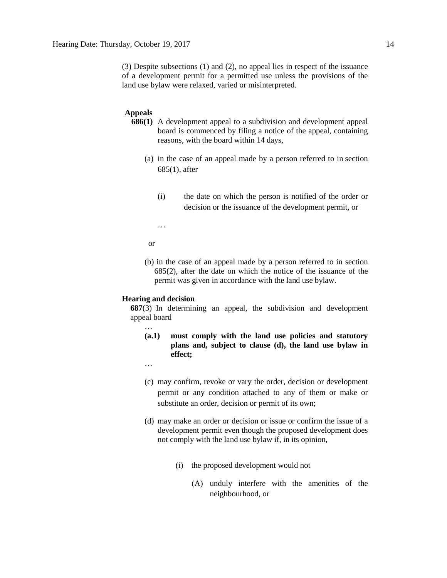(3) Despite subsections (1) and (2), no appeal lies in respect of the issuance of a development permit for a permitted use unless the provisions of the land use bylaw were relaxed, varied or misinterpreted.

### **Appeals**

- **686(1)** A development appeal to a subdivision and development appeal board is commenced by filing a notice of the appeal, containing reasons, with the board within 14 days,
	- (a) in the case of an appeal made by a person referred to in section 685(1), after
		- (i) the date on which the person is notified of the order or decision or the issuance of the development permit, or

…

or

(b) in the case of an appeal made by a person referred to in section 685(2), after the date on which the notice of the issuance of the permit was given in accordance with the land use bylaw.

#### **Hearing and decision**

**687**(3) In determining an appeal, the subdivision and development appeal board

**(a.1) must comply with the land use policies and statutory plans and, subject to clause (d), the land use bylaw in effect;**

…

…

- (c) may confirm, revoke or vary the order, decision or development permit or any condition attached to any of them or make or substitute an order, decision or permit of its own;
- (d) may make an order or decision or issue or confirm the issue of a development permit even though the proposed development does not comply with the land use bylaw if, in its opinion,
	- (i) the proposed development would not
		- (A) unduly interfere with the amenities of the neighbourhood, or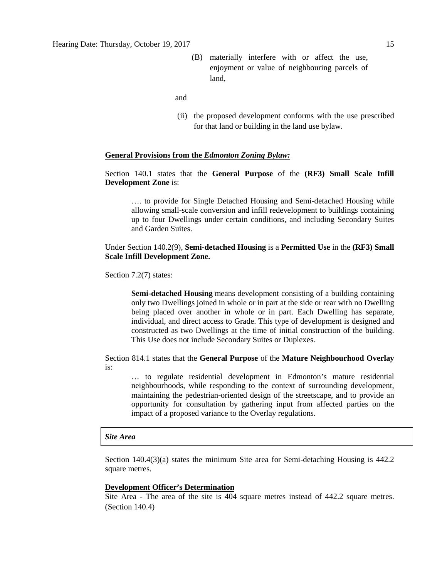(B) materially interfere with or affect the use, enjoyment or value of neighbouring parcels of land,

and

(ii) the proposed development conforms with the use prescribed for that land or building in the land use bylaw.

#### **General Provisions from the** *Edmonton Zoning Bylaw:*

Section 140.1 states that the **General Purpose** of the **(RF3) Small Scale Infill Development Zone** is:

…. to provide for Single Detached Housing and Semi-detached Housing while allowing small-scale conversion and infill redevelopment to buildings containing up to four Dwellings under certain conditions, and including Secondary Suites and Garden Suites.

Under Section 140.2(9), **Semi-detached Housing** is a **Permitted Use** in the **(RF3) Small Scale Infill Development Zone.**

Section 7.2(7) states:

**Semi-detached Housing** means development consisting of a building containing only two Dwellings joined in whole or in part at the side or rear with no Dwelling being placed over another in whole or in part. Each Dwelling has separate, individual, and direct access to Grade. This type of development is designed and constructed as two Dwellings at the time of initial construction of the building. This Use does not include Secondary Suites or Duplexes.

Section 814.1 states that the **General Purpose** of the **Mature Neighbourhood Overlay** is:

… to regulate residential development in Edmonton's mature residential neighbourhoods, while responding to the context of surrounding development, maintaining the pedestrian-oriented design of the streetscape, and to provide an opportunity for consultation by gathering input from affected parties on the impact of a proposed variance to the Overlay regulations.

#### *Site Area*

Section 140.4(3)(a) states the minimum Site area for Semi-detaching Housing is 442.2 square metres.

#### **Development Officer's Determination**

Site Area - The area of the site is 404 square metres instead of 442.2 square metres. (Section 140.4)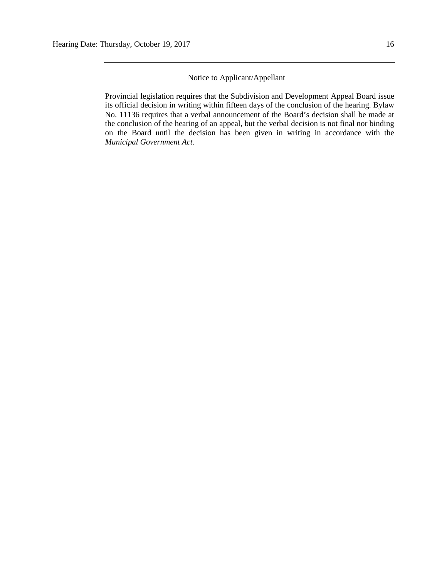# Notice to Applicant/Appellant

Provincial legislation requires that the Subdivision and Development Appeal Board issue its official decision in writing within fifteen days of the conclusion of the hearing. Bylaw No. 11136 requires that a verbal announcement of the Board's decision shall be made at the conclusion of the hearing of an appeal, but the verbal decision is not final nor binding on the Board until the decision has been given in writing in accordance with the *Municipal Government Act.*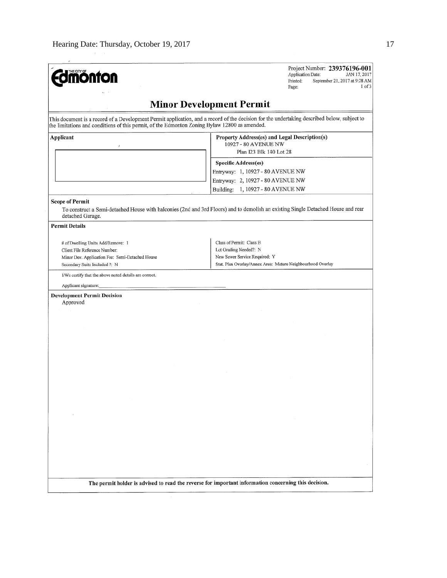| THE CITY OF                                                                                                                                                                                                                                                                                | Project Number: 239376196-001<br>Application Date:<br>JAN 17, 2017<br>Printed:<br>September 21, 2017 at 9:28 AM<br>$1$ of $3$<br>Page:                                                                                                         |
|--------------------------------------------------------------------------------------------------------------------------------------------------------------------------------------------------------------------------------------------------------------------------------------------|------------------------------------------------------------------------------------------------------------------------------------------------------------------------------------------------------------------------------------------------|
|                                                                                                                                                                                                                                                                                            | <b>Minor Development Permit</b>                                                                                                                                                                                                                |
| the limitations and conditions of this permit, of the Edmonton Zoning Bylaw 12800 as amended.                                                                                                                                                                                              | This document is a record of a Development Permit application, and a record of the decision for the undertaking described below, subject to                                                                                                    |
| Applicant<br><b>Scope of Permit</b>                                                                                                                                                                                                                                                        | Property Address(es) and Legal Description(s)<br>10927 - 80 AVENUE NW<br>Plan I23 Blk 140 Lot 28<br><b>Specific Address(es)</b><br>Entryway: 1, 10927 - 80 AVENUE NW<br>Entryway: 2, 10927 - 80 AVENUE NW<br>Building: 1, 10927 - 80 AVENUE NW |
| detached Garage.<br><b>Permit Details</b>                                                                                                                                                                                                                                                  | To construct a Semi-detached House with balconies (2nd and 3rd Floors) and to demolish an existing Single Detached House and rear                                                                                                              |
| # of Dwelling Units Add/Remove: 1<br>Client File Reference Number:<br>Minor Dev. Application Fee: Semi-Detached House<br>Secondary Suite Included ?: N<br>I/We certify that the above noted details are correct.<br>Applicant signature:<br><b>Development Permit Decision</b><br>Approved | Class of Permit: Class B<br>Lot Grading Needed?: N<br>New Sewer Service Required: Y<br>Stat. Plan Overlay/Annex Area: Mature Neighbourhood Overlay                                                                                             |
|                                                                                                                                                                                                                                                                                            |                                                                                                                                                                                                                                                |
|                                                                                                                                                                                                                                                                                            |                                                                                                                                                                                                                                                |
|                                                                                                                                                                                                                                                                                            |                                                                                                                                                                                                                                                |
|                                                                                                                                                                                                                                                                                            | The permit holder is advised to read the reverse for important information concerning this decision.                                                                                                                                           |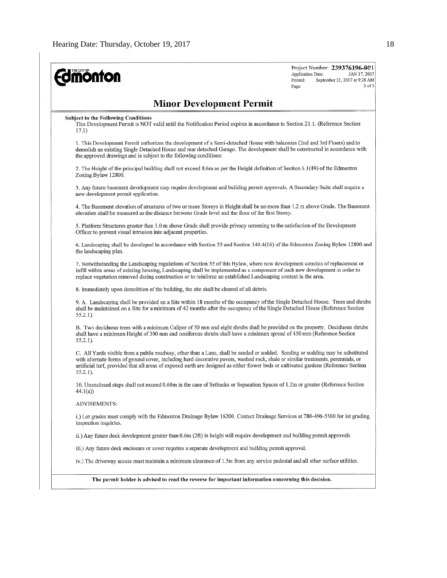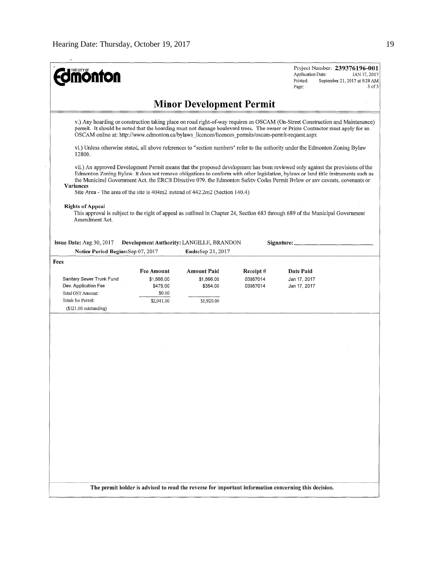| <b>ionfon</b>                                                                                      |                        |                                                               |                      | Project Number: 239376196-001<br><b>Application Date:</b><br>JAN 17, 2017<br>Printed:<br>September 21, 2017 at 9:28 AM<br>$3$ of $3$<br>Page:                                                                                                                                                                                                                                                   |
|----------------------------------------------------------------------------------------------------|------------------------|---------------------------------------------------------------|----------------------|-------------------------------------------------------------------------------------------------------------------------------------------------------------------------------------------------------------------------------------------------------------------------------------------------------------------------------------------------------------------------------------------------|
|                                                                                                    |                        | <b>Minor Development Permit</b>                               |                      |                                                                                                                                                                                                                                                                                                                                                                                                 |
| OSCAM online at: http://www.edmonton.ca/bylaws_licences/licences_permits/oscam-permit-request.aspx |                        |                                                               |                      | v.) Any hoarding or construction taking place on road right-of-way requires an OSCAM (On-Street Construction and Maintenance)<br>permit. It should be noted that the hoarding must not damage boulevard trees. The owner or Prime Contractor must apply for an                                                                                                                                  |
| 12800.                                                                                             |                        |                                                               |                      | vi.) Unless otherwise stated, all above references to "section numbers" refer to the authority under the Edmonton Zoning Bylaw                                                                                                                                                                                                                                                                  |
| <b>Variances</b><br>Site Area - The area of the site is 404m2 instead of 442.2m2 (Section 140.4)   |                        |                                                               |                      | vii.) An approved Development Permit means that the proposed development has been reviewed only against the provisions of the<br>Edmonton Zoning Bylaw. It does not remove obligations to conform with other legislation, bylaws or land title instruments such as<br>the Municipal Government Act. the ERCB Directive 079, the Edmonton Safety Codes Permit Bylaw or any caveats, covenants or |
| <b>Rights of Appeal</b><br>Amendment Act.                                                          |                        |                                                               |                      | This approval is subject to the right of appeal as outlined in Chapter 24, Section 683 through 689 of the Municipal Government                                                                                                                                                                                                                                                                  |
| <b>Issue Date:</b> Aug 30, 2017<br>Notice Period Begins: Sep 07, 2017                              |                        | Development Authority: LANGILLE, BRANDON<br>Ends:Sep 21, 2017 |                      | Signature: _                                                                                                                                                                                                                                                                                                                                                                                    |
| Fees                                                                                               |                        |                                                               |                      |                                                                                                                                                                                                                                                                                                                                                                                                 |
|                                                                                                    | Fee Amount             | Amount Paid                                                   | Receipt#             | Date Paid                                                                                                                                                                                                                                                                                                                                                                                       |
|                                                                                                    |                        |                                                               |                      |                                                                                                                                                                                                                                                                                                                                                                                                 |
| Sanitary Sewer Trunk Fund<br>Dev. Application Fee                                                  | \$1,566.00<br>\$475.00 | \$1,566.00<br>\$354.00                                        | 03867014<br>03867014 | Jan 17, 2017<br>Jan 17, 2017                                                                                                                                                                                                                                                                                                                                                                    |
| Total GST Amount:                                                                                  | \$0.00                 |                                                               |                      |                                                                                                                                                                                                                                                                                                                                                                                                 |
| Totals for Permit:                                                                                 | \$2,041.00             | \$1,920.00                                                    |                      |                                                                                                                                                                                                                                                                                                                                                                                                 |
| $($121.00$ outstanding)                                                                            |                        |                                                               |                      |                                                                                                                                                                                                                                                                                                                                                                                                 |
|                                                                                                    |                        |                                                               |                      |                                                                                                                                                                                                                                                                                                                                                                                                 |
|                                                                                                    |                        |                                                               |                      |                                                                                                                                                                                                                                                                                                                                                                                                 |
|                                                                                                    |                        |                                                               |                      |                                                                                                                                                                                                                                                                                                                                                                                                 |
|                                                                                                    |                        |                                                               |                      |                                                                                                                                                                                                                                                                                                                                                                                                 |
|                                                                                                    |                        |                                                               |                      |                                                                                                                                                                                                                                                                                                                                                                                                 |
|                                                                                                    |                        |                                                               |                      |                                                                                                                                                                                                                                                                                                                                                                                                 |
|                                                                                                    |                        |                                                               |                      |                                                                                                                                                                                                                                                                                                                                                                                                 |
|                                                                                                    |                        |                                                               |                      |                                                                                                                                                                                                                                                                                                                                                                                                 |
|                                                                                                    |                        |                                                               |                      |                                                                                                                                                                                                                                                                                                                                                                                                 |
|                                                                                                    |                        |                                                               |                      |                                                                                                                                                                                                                                                                                                                                                                                                 |
|                                                                                                    |                        |                                                               |                      |                                                                                                                                                                                                                                                                                                                                                                                                 |
|                                                                                                    |                        |                                                               |                      |                                                                                                                                                                                                                                                                                                                                                                                                 |
|                                                                                                    |                        |                                                               |                      |                                                                                                                                                                                                                                                                                                                                                                                                 |
|                                                                                                    |                        |                                                               |                      |                                                                                                                                                                                                                                                                                                                                                                                                 |
|                                                                                                    |                        |                                                               |                      |                                                                                                                                                                                                                                                                                                                                                                                                 |
|                                                                                                    |                        |                                                               |                      |                                                                                                                                                                                                                                                                                                                                                                                                 |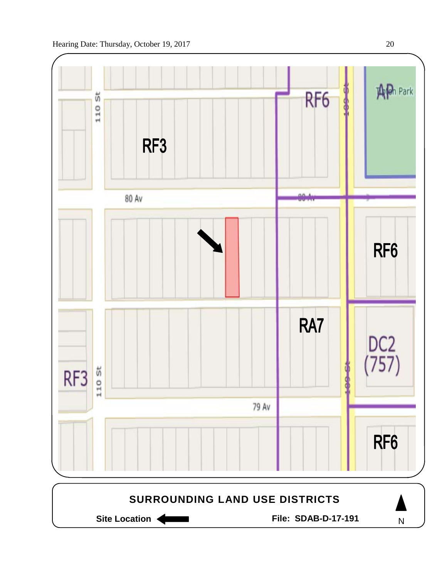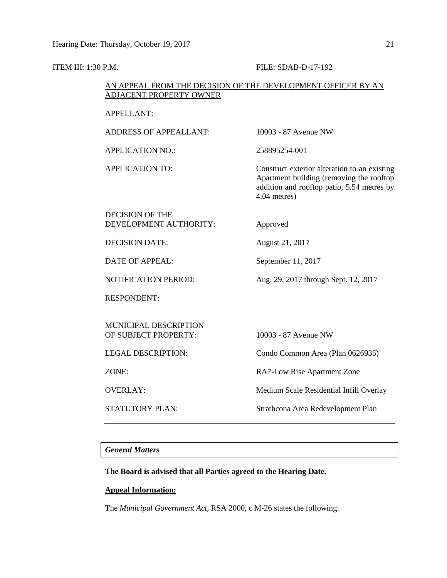#### **ITEM III: 1:30 P.M. FILE: SDAB-D-17-192**

# AN APPEAL FROM THE DECISION OF THE DEVELOPMENT OFFICER BY AN ADJACENT PROPERTY OWNER

#### APPELLANT:

ADDRESS OF APPEALLANT: 10003 - 87 Avenue NW

APPLICATION NO.: 258895254-001

APPLICATION TO: Construct exterior alteration to an existing Apartment building (removing the rooftop addition and rooftop patio, 5.54 metres by 4.04 metres)

# DECISION OF THE DEVELOPMENT AUTHORITY: Approved

DECISION DATE: August 21, 2017

DATE OF APPEAL: September 11, 2017

NOTIFICATION PERIOD: Aug. 29, 2017 through Sept. 12, 2017

RESPONDENT:

MUNICIPAL DESCRIPTION OF SUBJECT PROPERTY: 10003 - 87 Avenue NW

LEGAL DESCRIPTION: Condo Common Area (Plan 0626935)

ZONE: RA7-Low Rise Apartment Zone

OVERLAY: Medium Scale Residential Infill Overlay

STATUTORY PLAN: Strathcona Area Redevelopment Plan

# *General Matters*

# **The Board is advised that all Parties agreed to the Hearing Date.**

# **Appeal Information:**

The *Municipal Government Act*, RSA 2000, c M-26 states the following: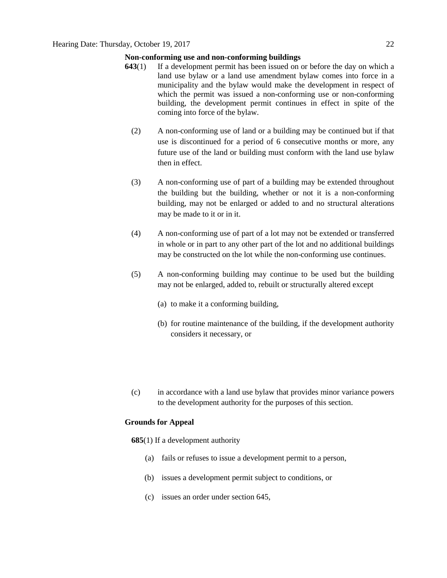## **Non-conforming use and non-conforming buildings**

- **643**(1) If a development permit has been issued on or before the day on which a land use bylaw or a land use amendment bylaw comes into force in a municipality and the bylaw would make the development in respect of which the permit was issued a non-conforming use or non-conforming building, the development permit continues in effect in spite of the coming into force of the bylaw.
	- (2) A non-conforming use of land or a building may be continued but if that use is discontinued for a period of 6 consecutive months or more, any future use of the land or building must conform with the land use bylaw then in effect.
	- (3) A non-conforming use of part of a building may be extended throughout the building but the building, whether or not it is a non-conforming building, may not be enlarged or added to and no structural alterations may be made to it or in it.
	- (4) A non-conforming use of part of a lot may not be extended or transferred in whole or in part to any other part of the lot and no additional buildings may be constructed on the lot while the non-conforming use continues.
	- (5) A non-conforming building may continue to be used but the building may not be enlarged, added to, rebuilt or structurally altered except
		- (a) to make it a conforming building,
		- (b) for routine maintenance of the building, if the development authority considers it necessary, or
	- (c) in accordance with a land use bylaw that provides minor variance powers to the development authority for the purposes of this section.

## **Grounds for Appeal**

**685**(1) If a development authority

- (a) fails or refuses to issue a development permit to a person,
- (b) issues a development permit subject to conditions, or
- (c) issues an order under section 645,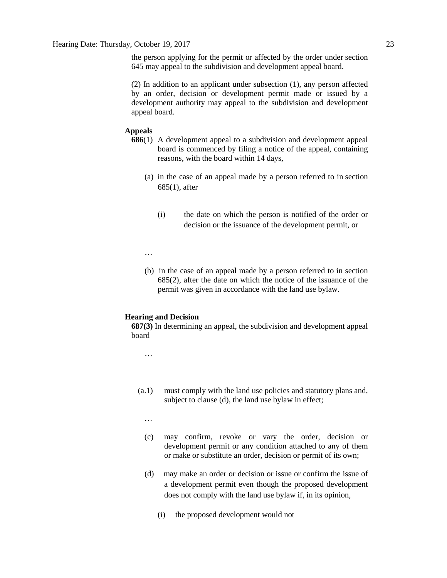the person applying for the permit or affected by the order under section 645 may appeal to the subdivision and development appeal board.

(2) In addition to an applicant under subsection (1), any person affected by an order, decision or development permit made or issued by a development authority may appeal to the subdivision and development appeal board.

#### **Appeals**

- **686**(1) A development appeal to a subdivision and development appeal board is commenced by filing a notice of the appeal, containing reasons, with the board within 14 days,
	- (a) in the case of an appeal made by a person referred to in section 685(1), after
		- (i) the date on which the person is notified of the order or decision or the issuance of the development permit, or

…

(b) in the case of an appeal made by a person referred to in section 685(2), after the date on which the notice of the issuance of the permit was given in accordance with the land use bylaw.

#### **Hearing and Decision**

**687(3)** In determining an appeal, the subdivision and development appeal board

…

- (a.1) must comply with the land use policies and statutory plans and, subject to clause (d), the land use bylaw in effect;
	- …
	- (c) may confirm, revoke or vary the order, decision or development permit or any condition attached to any of them or make or substitute an order, decision or permit of its own;
	- (d) may make an order or decision or issue or confirm the issue of a development permit even though the proposed development does not comply with the land use bylaw if, in its opinion,
		- (i) the proposed development would not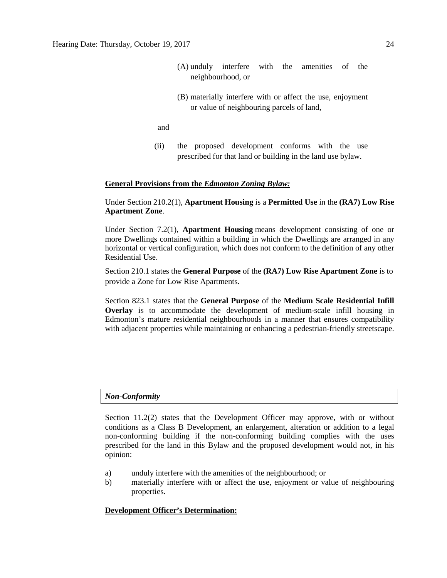- (A) unduly interfere with the amenities of the neighbourhood, or
- (B) materially interfere with or affect the use, enjoyment or value of neighbouring parcels of land,
- and
- (ii) the proposed development conforms with the use prescribed for that land or building in the land use bylaw.

#### **General Provisions from the** *Edmonton Zoning Bylaw:*

# Under Section 210.2(1), **Apartment Housing** is a **Permitted Use** in the **(RA7) Low Rise Apartment Zone**.

Under Section 7.2(1), **Apartment Housing** means development consisting of one or more Dwellings contained within a building in which the Dwellings are arranged in any horizontal or vertical configuration, which does not conform to the definition of any other Residential Use.

Section 210.1 states the **General Purpose** of the **(RA7) Low Rise Apartment Zone** is to provide a Zone for Low Rise Apartments.

Section 823.1 states that the **General Purpose** of the **Medium Scale Residential Infill Overlay** is to accommodate the development of medium-scale infill housing in Edmonton's mature residential neighbourhoods in a manner that ensures compatibility with adjacent properties while maintaining or enhancing a pedestrian-friendly streetscape.

#### *Non-Conformity*

Section 11.2(2) states that the Development Officer may approve, with or without conditions as a Class B Development, an enlargement, alteration or addition to a legal non-conforming building if the non-conforming building complies with the uses prescribed for the land in this Bylaw and the proposed development would not, in his opinion:

- a) unduly interfere with the amenities of the neighbourhood; or
- b) materially interfere with or affect the use, enjoyment or value of neighbouring properties.

#### **Development Officer's Determination:**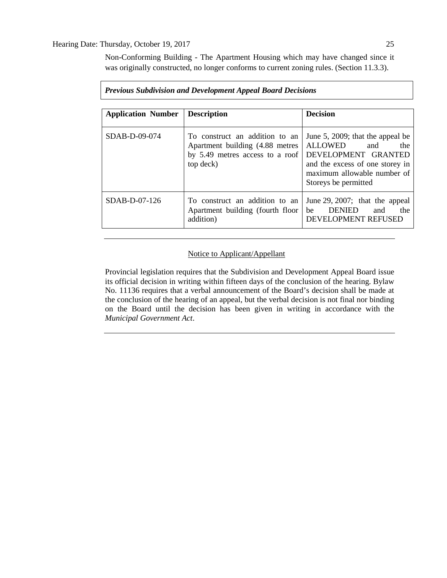Non-Conforming Building - The Apartment Housing which may have changed since it was originally constructed, no longer conforms to current zoning rules. (Section 11.3.3).

| <b>Application Number</b> | <b>Description</b>                                                                                                | <b>Decision</b>                                                                                                                                                                   |
|---------------------------|-------------------------------------------------------------------------------------------------------------------|-----------------------------------------------------------------------------------------------------------------------------------------------------------------------------------|
| $SDAB-D-09-074$           | To construct an addition to an<br>Apartment building (4.88 metres<br>by 5.49 metres access to a roof<br>top deck) | June 5, 2009; that the appeal be<br><b>ALLOWED</b><br>and<br>the<br>DEVELOPMENT GRANTED<br>and the excess of one storey in<br>maximum allowable number of<br>Storeys be permitted |
| $SDAB-D-07-126$           | To construct an addition to an<br>Apartment building (fourth floor<br>addition)                                   | June 29, 2007; that the appeal<br><b>DENIED</b><br>the<br>be<br>and<br>DEVELOPMENT REFUSED                                                                                        |

## *Previous Subdivision and Development Appeal Board Decisions*

# Notice to Applicant/Appellant

Provincial legislation requires that the Subdivision and Development Appeal Board issue its official decision in writing within fifteen days of the conclusion of the hearing. Bylaw No. 11136 requires that a verbal announcement of the Board's decision shall be made at the conclusion of the hearing of an appeal, but the verbal decision is not final nor binding on the Board until the decision has been given in writing in accordance with the *Municipal Government Act*.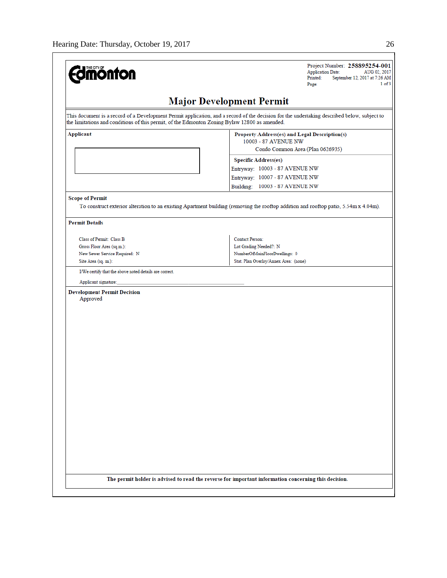| <b>Edmonton</b>                                                                               | Project Number: 258895254-001<br><b>Application Date:</b><br>AUG 02, 2017<br>Printed:<br>September 12, 2017 at 7:26 AM<br>1 of 3<br>Page:   |
|-----------------------------------------------------------------------------------------------|---------------------------------------------------------------------------------------------------------------------------------------------|
|                                                                                               | <b>Major Development Permit</b>                                                                                                             |
| the limitations and conditions of this permit, of the Edmonton Zoning Bylaw 12800 as amended. | This document is a record of a Development Permit application, and a record of the decision for the undertaking described below, subject to |
| Applicant                                                                                     | Property Address(es) and Legal Description(s)<br>10003 - 87 AVENUE NW                                                                       |
|                                                                                               | Condo Common Area (Plan 0626935)                                                                                                            |
|                                                                                               | <b>Specific Address(es)</b>                                                                                                                 |
|                                                                                               | Entryway: 10003 - 87 AVENUE NW                                                                                                              |
|                                                                                               | Entryway: 10007 - 87 AVENUE NW                                                                                                              |
|                                                                                               | Building: 10003 - 87 AVENUE NW                                                                                                              |
| <b>Scope of Permit</b>                                                                        |                                                                                                                                             |
|                                                                                               | To construct exterior alteration to an existing Apartment building (removing the rooftop addition and rooftop patio, 5.54m x 4.04m).        |
| <b>Permit Details</b>                                                                         |                                                                                                                                             |
| Class of Permit: Class B                                                                      | Contact Person:                                                                                                                             |
| Gross Floor Area (sq.m.):                                                                     | Lot Grading Needed?: N                                                                                                                      |
| New Sewer Service Required: N                                                                 | NumberOfMainFloorDwellings: 0                                                                                                               |
| Site Area (sq. m.):                                                                           | Stat. Plan Overlay/Annex Area: (none)                                                                                                       |
| I/We certify that the above noted details are correct.                                        |                                                                                                                                             |
|                                                                                               |                                                                                                                                             |
| Applicant signature:                                                                          |                                                                                                                                             |
| <b>Development Permit Decision</b>                                                            |                                                                                                                                             |
| Approved                                                                                      |                                                                                                                                             |
|                                                                                               |                                                                                                                                             |
|                                                                                               |                                                                                                                                             |
|                                                                                               |                                                                                                                                             |
|                                                                                               |                                                                                                                                             |
|                                                                                               |                                                                                                                                             |
|                                                                                               |                                                                                                                                             |
|                                                                                               |                                                                                                                                             |
|                                                                                               |                                                                                                                                             |
|                                                                                               |                                                                                                                                             |
|                                                                                               |                                                                                                                                             |
|                                                                                               |                                                                                                                                             |
|                                                                                               |                                                                                                                                             |
|                                                                                               |                                                                                                                                             |
|                                                                                               |                                                                                                                                             |
|                                                                                               |                                                                                                                                             |
|                                                                                               |                                                                                                                                             |
|                                                                                               |                                                                                                                                             |
|                                                                                               |                                                                                                                                             |
|                                                                                               |                                                                                                                                             |
|                                                                                               |                                                                                                                                             |
|                                                                                               |                                                                                                                                             |
|                                                                                               | The permit holder is advised to read the reverse for important information concerning this decision.                                        |
|                                                                                               |                                                                                                                                             |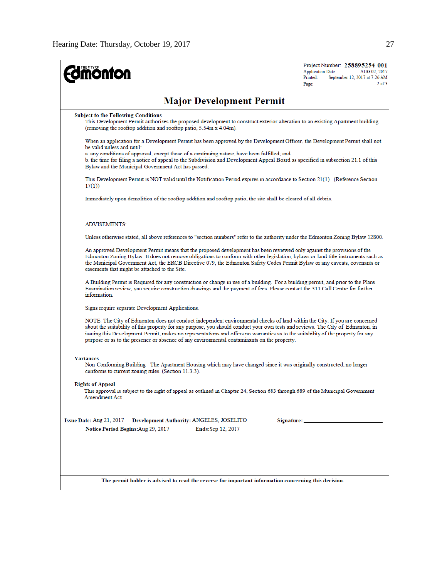| <b>ionfon</b>                                                                                                                                                                                                                                                                                                                                                                                                                                                                                    | Project Number: 258895254-001<br><b>Application Date:</b><br>AUG 02, 2017<br>September 12, 2017 at 7:26 AM<br>Printed:<br>$2$ of $3$<br>Page: |
|--------------------------------------------------------------------------------------------------------------------------------------------------------------------------------------------------------------------------------------------------------------------------------------------------------------------------------------------------------------------------------------------------------------------------------------------------------------------------------------------------|-----------------------------------------------------------------------------------------------------------------------------------------------|
| <b>Major Development Permit</b>                                                                                                                                                                                                                                                                                                                                                                                                                                                                  |                                                                                                                                               |
| <b>Subject to the Following Conditions</b><br>This Development Permit authorizes the proposed development to construct exterior alteration to an existing Apartment building<br>(removing the rooftop addition and rooftop patio, 5.54m x 4.04m).                                                                                                                                                                                                                                                |                                                                                                                                               |
| When an application for a Development Permit has been approved by the Development Officer, the Development Permit shall not<br>be valid unless and until:<br>a. any conditions of approval, except those of a continuing nature, have been fulfilled; and<br>b. the time for filing a notice of appeal to the Subdivision and Development Appeal Board as specified in subsection 21.1 of this<br>Bylaw and the Municipal Government Act has passed.                                             |                                                                                                                                               |
| This Development Permit is NOT valid until the Notification Period expires in accordance to Section 21(1). (Reference Section<br>17(1)                                                                                                                                                                                                                                                                                                                                                           |                                                                                                                                               |
| Immediately upon demolition of the rooftop addition and rooftop patio, the site shall be cleared of all debris.                                                                                                                                                                                                                                                                                                                                                                                  |                                                                                                                                               |
| <b>ADVISEMENTS:</b>                                                                                                                                                                                                                                                                                                                                                                                                                                                                              |                                                                                                                                               |
| Unless otherwise stated, all above references to "section numbers" refer to the authority under the Edmonton Zoning Bylaw 12800.                                                                                                                                                                                                                                                                                                                                                                 |                                                                                                                                               |
| An approved Development Permit means that the proposed development has been reviewed only against the provisions of the<br>Edmonton Zoning Bylaw. It does not remove obligations to conform with other legislation, bylaws or land title instruments such as<br>the Municipal Government Act, the ERCB Directive 079, the Edmonton Safety Codes Permit Bylaw or any caveats, covenants or<br>easements that might be attached to the Site.                                                       |                                                                                                                                               |
| A Building Permit is Required for any construction or change in use of a building. For a building permit, and prior to the Plans<br>Examination review, you require construction drawings and the payment of fees. Please contact the 311 Call Centre for further<br>information.                                                                                                                                                                                                                |                                                                                                                                               |
| Signs require separate Development Applications.                                                                                                                                                                                                                                                                                                                                                                                                                                                 |                                                                                                                                               |
| NOTE: The City of Edmonton does not conduct independent environmental checks of land within the City. If you are concerned<br>about the suitability of this property for any purpose, you should conduct your own tests and reviews. The City of Edmonton, in<br>issuing this Development Permit, makes no representations and offers no warranties as to the suitability of the property for any<br>purpose or as to the presence or absence of any environmental contaminants on the property. |                                                                                                                                               |
| <b>Variances</b><br>Non-Conforming Building - The Apartment Housing which may have changed since it was originally constructed, no longer<br>conforms to current zoning rules. (Section 11.3.3).                                                                                                                                                                                                                                                                                                 |                                                                                                                                               |
| <b>Rights of Appeal</b><br>This approval is subject to the right of appeal as outlined in Chapter 24, Section 683 through 689 of the Municipal Government<br>Amendment Act.                                                                                                                                                                                                                                                                                                                      |                                                                                                                                               |
| Issue Date: Aug 21, 2017<br>Development Authority: ANGELES, JOSELITO<br>Notice Period Begins: Aug 29, 2017<br><b>Ends:Sep 12, 2017</b>                                                                                                                                                                                                                                                                                                                                                           |                                                                                                                                               |
| The permit holder is advised to read the reverse for important information concerning this decision.                                                                                                                                                                                                                                                                                                                                                                                             |                                                                                                                                               |
|                                                                                                                                                                                                                                                                                                                                                                                                                                                                                                  |                                                                                                                                               |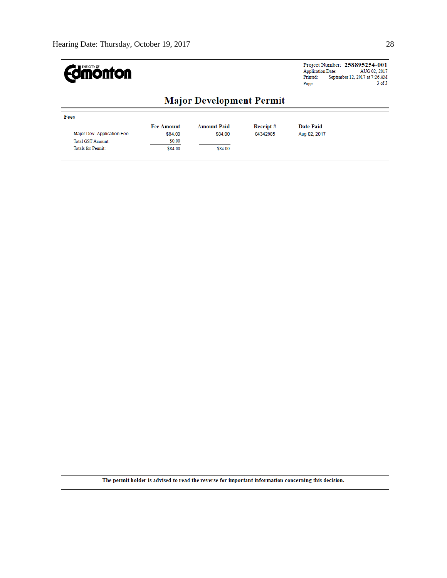| <b><i><u>dimonton</u></i></b>                          |                   |                                 |          | Project Number: 258895254-001<br><b>Application Date:</b><br>AUG 02, 2017<br>Printed:<br>September 12, 2017 at 7:26 AM<br>$3$ of $3$<br>Page: |
|--------------------------------------------------------|-------------------|---------------------------------|----------|-----------------------------------------------------------------------------------------------------------------------------------------------|
|                                                        |                   | <b>Major Development Permit</b> |          |                                                                                                                                               |
| Fees                                                   |                   |                                 |          |                                                                                                                                               |
|                                                        | <b>Fee Amount</b> | <b>Amount Paid</b>              | Receipt# | <b>Date Paid</b>                                                                                                                              |
| Major Dev. Application Fee<br><b>Total GST Amount:</b> | \$84.00<br>\$0.00 | \$84.00                         | 04342985 | Aug 02, 2017                                                                                                                                  |
| <b>Totals for Permit:</b>                              | \$84.00           | \$84.00                         |          |                                                                                                                                               |
|                                                        |                   |                                 |          |                                                                                                                                               |
|                                                        |                   |                                 |          |                                                                                                                                               |
|                                                        |                   |                                 |          |                                                                                                                                               |
|                                                        |                   |                                 |          |                                                                                                                                               |
|                                                        |                   |                                 |          |                                                                                                                                               |
|                                                        |                   |                                 |          |                                                                                                                                               |
|                                                        |                   |                                 |          |                                                                                                                                               |
|                                                        |                   |                                 |          |                                                                                                                                               |
|                                                        |                   |                                 |          |                                                                                                                                               |
|                                                        |                   |                                 |          |                                                                                                                                               |
|                                                        |                   |                                 |          |                                                                                                                                               |
|                                                        |                   |                                 |          |                                                                                                                                               |
|                                                        |                   |                                 |          |                                                                                                                                               |
|                                                        |                   |                                 |          |                                                                                                                                               |
|                                                        |                   |                                 |          |                                                                                                                                               |
|                                                        |                   |                                 |          |                                                                                                                                               |
|                                                        |                   |                                 |          |                                                                                                                                               |
|                                                        |                   |                                 |          |                                                                                                                                               |
|                                                        |                   |                                 |          |                                                                                                                                               |
|                                                        |                   |                                 |          |                                                                                                                                               |
|                                                        |                   |                                 |          |                                                                                                                                               |
|                                                        |                   |                                 |          |                                                                                                                                               |
|                                                        |                   |                                 |          |                                                                                                                                               |
|                                                        |                   |                                 |          |                                                                                                                                               |
|                                                        |                   |                                 |          |                                                                                                                                               |
|                                                        |                   |                                 |          | The permit holder is advised to read the reverse for important information concerning this decision.                                          |